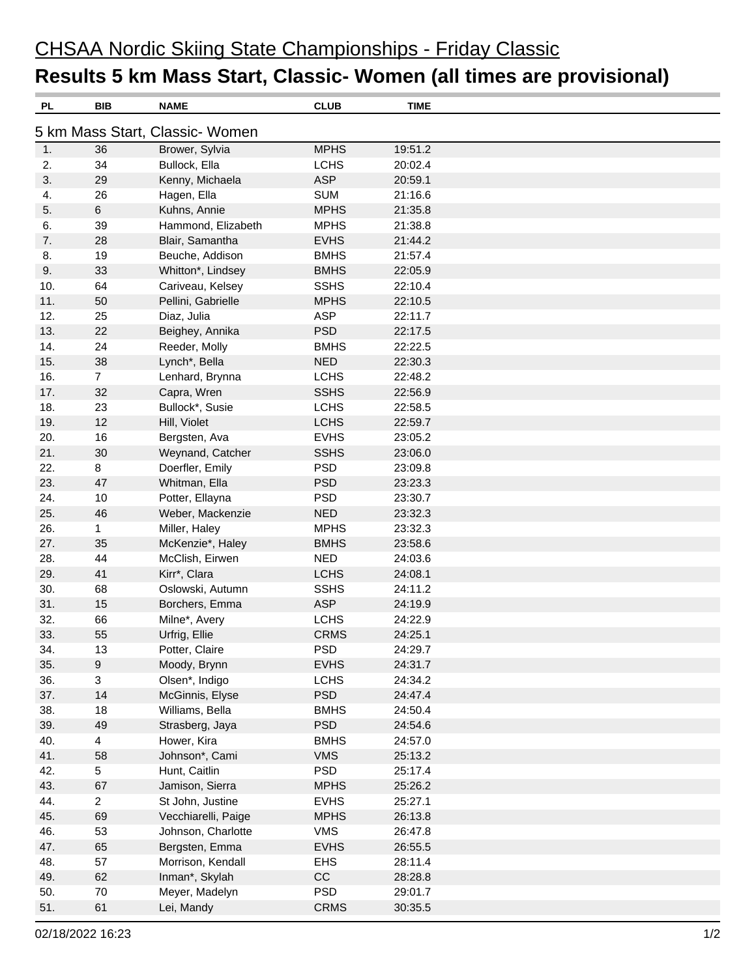## CHSAA Nordic Skiing State Championships - Friday Classic **Results 5 km Mass Start, Classic- Women (all times are provisional)**

| PL  | BIB              | <b>NAME</b>                     | <b>CLUB</b> | TIME    |  |
|-----|------------------|---------------------------------|-------------|---------|--|
|     |                  | 5 km Mass Start, Classic- Women |             |         |  |
| 1.  | 36               | Brower, Sylvia                  | <b>MPHS</b> | 19:51.2 |  |
| 2.  | 34               | Bullock, Ella                   | <b>LCHS</b> | 20:02.4 |  |
| 3.  | 29               | Kenny, Michaela                 | <b>ASP</b>  | 20:59.1 |  |
| 4.  | 26               | Hagen, Ella                     | <b>SUM</b>  | 21:16.6 |  |
| 5.  | $\,6\,$          | Kuhns, Annie                    | <b>MPHS</b> | 21:35.8 |  |
| 6.  | 39               | Hammond, Elizabeth              | <b>MPHS</b> | 21:38.8 |  |
| 7.  | 28               | Blair, Samantha                 | <b>EVHS</b> | 21:44.2 |  |
| 8.  | 19               | Beuche, Addison                 | <b>BMHS</b> | 21:57.4 |  |
| 9.  | 33               | Whitton*, Lindsey               | <b>BMHS</b> | 22:05.9 |  |
| 10. | 64               | Cariveau, Kelsey                | <b>SSHS</b> | 22:10.4 |  |
| 11. | 50               | Pellini, Gabrielle              | <b>MPHS</b> | 22:10.5 |  |
| 12. | 25               | Diaz, Julia                     | <b>ASP</b>  | 22:11.7 |  |
| 13. | 22               | Beighey, Annika                 | <b>PSD</b>  | 22:17.5 |  |
| 14. | 24               | Reeder, Molly                   | <b>BMHS</b> | 22:22.5 |  |
| 15. | 38               | Lynch*, Bella                   | <b>NED</b>  | 22:30.3 |  |
| 16. | $\overline{7}$   | Lenhard, Brynna                 | <b>LCHS</b> | 22:48.2 |  |
| 17. | 32               | Capra, Wren                     | <b>SSHS</b> | 22:56.9 |  |
| 18. | 23               | Bullock*, Susie                 | <b>LCHS</b> | 22:58.5 |  |
| 19. | 12               | Hill, Violet                    | <b>LCHS</b> | 22:59.7 |  |
| 20. | 16               | Bergsten, Ava                   | <b>EVHS</b> | 23:05.2 |  |
| 21. | 30               | Weynand, Catcher                | <b>SSHS</b> | 23:06.0 |  |
| 22. | 8                | Doerfler, Emily                 | <b>PSD</b>  | 23:09.8 |  |
| 23. | 47               | Whitman, Ella                   | <b>PSD</b>  | 23:23.3 |  |
| 24. | 10               | Potter, Ellayna                 | <b>PSD</b>  | 23:30.7 |  |
| 25. | 46               | Weber, Mackenzie                | <b>NED</b>  | 23:32.3 |  |
| 26. | 1                | Miller, Haley                   | <b>MPHS</b> | 23:32.3 |  |
| 27. | 35               | McKenzie*, Haley                | <b>BMHS</b> | 23:58.6 |  |
| 28. | 44               | McClish, Eirwen                 | <b>NED</b>  | 24:03.6 |  |
| 29. | 41               | Kirr*, Clara                    | <b>LCHS</b> | 24:08.1 |  |
| 30. | 68               | Oslowski, Autumn                | <b>SSHS</b> | 24:11.2 |  |
| 31. | 15               | Borchers, Emma                  | <b>ASP</b>  | 24:19.9 |  |
| 32. | 66               | Milne*, Avery                   | <b>LCHS</b> | 24:22.9 |  |
| 33. | 55               | Urfrig, Ellie                   | <b>CRMS</b> | 24:25.1 |  |
| 34. | 13               | Potter, Claire                  | <b>PSD</b>  | 24:29.7 |  |
| 35. | $\boldsymbol{9}$ | Moody, Brynn                    | <b>EVHS</b> | 24:31.7 |  |
| 36. | 3                | Olsen*, Indigo                  | <b>LCHS</b> | 24:34.2 |  |
| 37. | 14               | McGinnis, Elyse                 | <b>PSD</b>  | 24:47.4 |  |
| 38. | 18               | Williams, Bella                 | <b>BMHS</b> | 24:50.4 |  |
| 39. | 49               | Strasberg, Jaya                 | <b>PSD</b>  | 24:54.6 |  |
| 40. | $\overline{4}$   | Hower, Kira                     | <b>BMHS</b> | 24:57.0 |  |
| 41. | 58               | Johnson*, Cami                  | <b>VMS</b>  | 25:13.2 |  |
| 42. | 5                | Hunt, Caitlin                   | <b>PSD</b>  | 25:17.4 |  |
| 43. | 67               | Jamison, Sierra                 | <b>MPHS</b> | 25:26.2 |  |
| 44. | $\overline{2}$   | St John, Justine                | <b>EVHS</b> | 25:27.1 |  |
| 45. | 69               | Vecchiarelli, Paige             | <b>MPHS</b> | 26:13.8 |  |
| 46. | 53               | Johnson, Charlotte              | <b>VMS</b>  | 26:47.8 |  |
| 47. | 65               | Bergsten, Emma                  | <b>EVHS</b> | 26:55.5 |  |
| 48. | 57               | Morrison, Kendall               | <b>EHS</b>  | 28:11.4 |  |
| 49. | 62               | Inman*, Skylah                  | CC          | 28:28.8 |  |
| 50. | 70               | Meyer, Madelyn                  | <b>PSD</b>  | 29:01.7 |  |
| 51. | 61               | Lei, Mandy                      | <b>CRMS</b> | 30:35.5 |  |